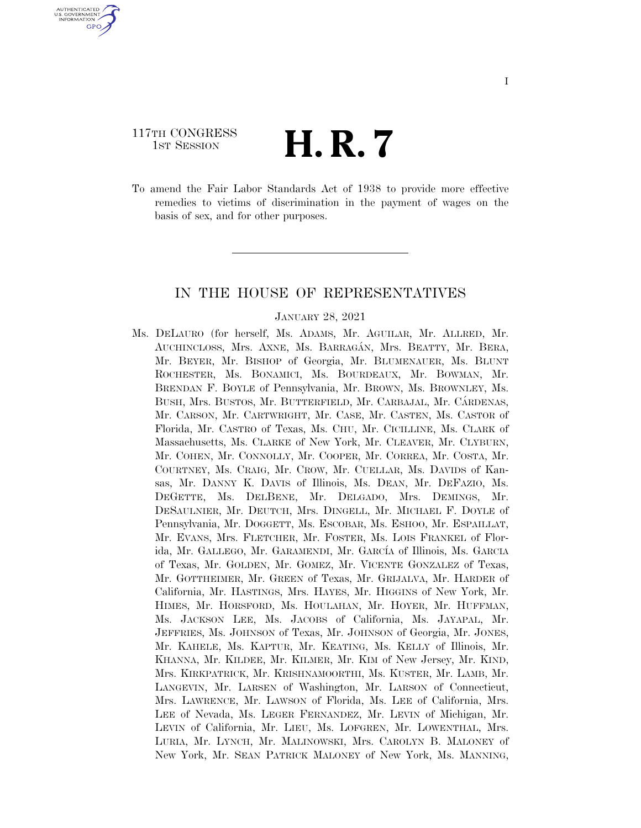#### 117TH CONGRESS TH CONGRESS  $\mathbf{H}$  **R**.  $\mathbf{7}$

U.S. GOVERNMENT **GPO** 

> To amend the Fair Labor Standards Act of 1938 to provide more effective remedies to victims of discrimination in the payment of wages on the basis of sex, and for other purposes.

#### IN THE HOUSE OF REPRESENTATIVES

#### JANUARY 28, 2021

Ms. DELAURO (for herself, Ms. ADAMS, Mr. AGUILAR, Mr. ALLRED, Mr. AUCHINCLOSS, Mrs. AXNE, Ms. BARRAGÁN, Mrs. BEATTY, Mr. BERA, Mr. BEYER, Mr. BISHOP of Georgia, Mr. BLUMENAUER, Ms. BLUNT ROCHESTER, Ms. BONAMICI, Ms. BOURDEAUX, Mr. BOWMAN, Mr. BRENDAN F. BOYLE of Pennsylvania, Mr. BROWN, Ms. BROWNLEY, Ms. BUSH, Mrs. BUSTOS, Mr. BUTTERFIELD, Mr. CARBAJAL, Mr. CÁRDENAS, Mr. CARSON, Mr. CARTWRIGHT, Mr. CASE, Mr. CASTEN, Ms. CASTOR of Florida, Mr. CASTRO of Texas, Ms. CHU, Mr. CICILLINE, Ms. CLARK of Massachusetts, Ms. CLARKE of New York, Mr. CLEAVER, Mr. CLYBURN, Mr. COHEN, Mr. CONNOLLY, Mr. COOPER, Mr. CORREA, Mr. COSTA, Mr. COURTNEY, Ms. CRAIG, Mr. CROW, Mr. CUELLAR, Ms. DAVIDS of Kansas, Mr. DANNY K. DAVIS of Illinois, Ms. DEAN, Mr. DEFAZIO, Ms. DEGETTE, Ms. DELBENE, Mr. DELGADO, Mrs. DEMINGS, Mr. DESAULNIER, Mr. DEUTCH, Mrs. DINGELL, Mr. MICHAEL F. DOYLE of Pennsylvania, Mr. DOGGETT, Ms. ESCOBAR, Ms. ESHOO, Mr. ESPAILLAT, Mr. EVANS, Mrs. FLETCHER, Mr. FOSTER, Ms. LOIS FRANKEL of Florida, Mr. GALLEGO, Mr. GARAMENDI, Mr. GARCÍA of Illinois, Ms. GARCIA of Texas, Mr. GOLDEN, Mr. GOMEZ, Mr. VICENTE GONZALEZ of Texas, Mr. GOTTHEIMER, Mr. GREEN of Texas, Mr. GRIJALVA, Mr. HARDER of California, Mr. HASTINGS, Mrs. HAYES, Mr. HIGGINS of New York, Mr. HIMES, Mr. HORSFORD, Ms. HOULAHAN, Mr. HOYER, Mr. HUFFMAN, Ms. JACKSON LEE, Ms. JACOBS of California, Ms. JAYAPAL, Mr. JEFFRIES, Ms. JOHNSON of Texas, Mr. JOHNSON of Georgia, Mr. JONES, Mr. KAHELE, Ms. KAPTUR, Mr. KEATING, Ms. KELLY of Illinois, Mr. KHANNA, Mr. KILDEE, Mr. KILMER, Mr. KIM of New Jersey, Mr. KIND, Mrs. KIRKPATRICK, Mr. KRISHNAMOORTHI, Ms. KUSTER, Mr. LAMB, Mr. LANGEVIN, Mr. LARSEN of Washington, Mr. LARSON of Connecticut, Mrs. LAWRENCE, Mr. LAWSON of Florida, Ms. LEE of California, Mrs. LEE of Nevada, Ms. LEGER FERNANDEZ, Mr. LEVIN of Michigan, Mr. LEVIN of California, Mr. LIEU, Ms. LOFGREN, Mr. LOWENTHAL, Mrs. LURIA, Mr. LYNCH, Mr. MALINOWSKI, Mrs. CAROLYN B. MALONEY of New York, Mr. SEAN PATRICK MALONEY of New York, Ms. MANNING,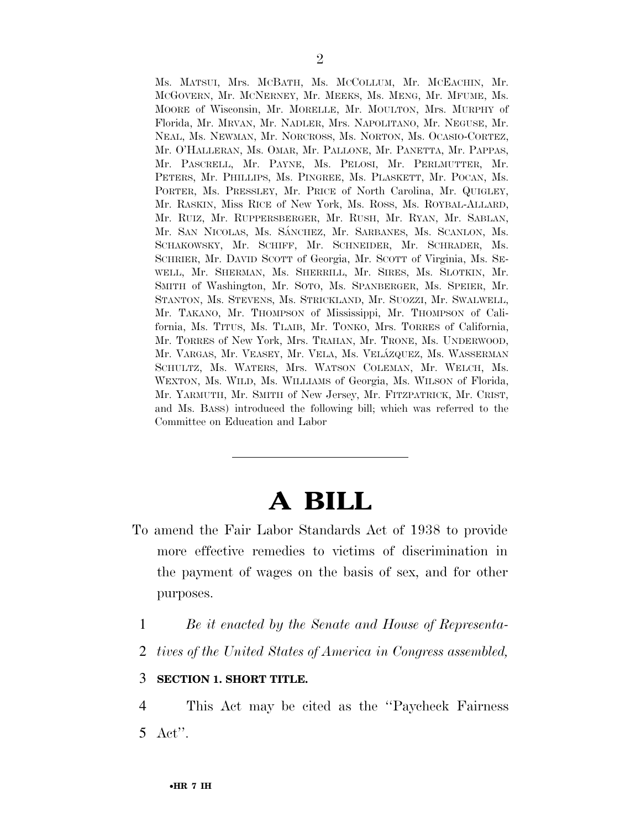Ms. MATSUI, Mrs. MCBATH, Ms. MCCOLLUM, Mr. MCEACHIN, Mr. MCGOVERN, Mr. MCNERNEY, Mr. MEEKS, Ms. MENG, Mr. MFUME, Ms. MOORE of Wisconsin, Mr. MORELLE, Mr. MOULTON, Mrs. MURPHY of Florida, Mr. MRVAN, Mr. NADLER, Mrs. NAPOLITANO, Mr. NEGUSE, Mr. NEAL, Ms. NEWMAN, Mr. NORCROSS, Ms. NORTON, Ms. OCASIO-CORTEZ, Mr. O'HALLERAN, Ms. OMAR, Mr. PALLONE, Mr. PANETTA, Mr. PAPPAS, Mr. PASCRELL, Mr. PAYNE, Ms. PELOSI, Mr. PERLMUTTER, Mr. PETERS, Mr. PHILLIPS, Ms. PINGREE, Ms. PLASKETT, Mr. POCAN, Ms. PORTER, Ms. PRESSLEY, Mr. PRICE of North Carolina, Mr. QUIGLEY, Mr. RASKIN, Miss RICE of New York, Ms. ROSS, Ms. ROYBAL-ALLARD, Mr. RUIZ, Mr. RUPPERSBERGER, Mr. RUSH, Mr. RYAN, Mr. SABLAN, Mr. SAN NICOLAS, Ms. SÁNCHEZ, Mr. SARBANES, Ms. SCANLON, Ms. SCHAKOWSKY, Mr. SCHIFF, Mr. SCHNEIDER, Mr. SCHRADER, Ms. SCHRIER, Mr. DAVID SCOTT of Georgia, Mr. SCOTT of Virginia, Ms. SE-WELL, Mr. SHERMAN, Ms. SHERRILL, Mr. SIRES, Ms. SLOTKIN, Mr. SMITH of Washington, Mr. SOTO, Ms. SPANBERGER, Ms. SPEIER, Mr. STANTON, Ms. STEVENS, Ms. STRICKLAND, Mr. SUOZZI, Mr. SWALWELL, Mr. TAKANO, Mr. THOMPSON of Mississippi, Mr. THOMPSON of California, Ms. TITUS, Ms. TLAIB, Mr. TONKO, Mrs. TORRES of California, Mr. TORRES of New York, Mrs. TRAHAN, Mr. TRONE, Ms. UNDERWOOD, Mr. VARGAS, Mr. VEASEY, Mr. VELA, Ms. VELÁZQUEZ, Ms. WASSERMAN SCHULTZ, Ms. WATERS, Mrs. WATSON COLEMAN, Mr. WELCH, Ms. WEXTON, Ms. WILD, Ms. WILLIAMS of Georgia, Ms. WILSON of Florida, Mr. YARMUTH, Mr. SMITH of New Jersey, Mr. FITZPATRICK, Mr. CRIST, and Ms. BASS) introduced the following bill; which was referred to the Committee on Education and Labor

# **A BILL**

- To amend the Fair Labor Standards Act of 1938 to provide more effective remedies to victims of discrimination in the payment of wages on the basis of sex, and for other purposes.
	- 1 *Be it enacted by the Senate and House of Representa-*
	- 2 *tives of the United States of America in Congress assembled,*

### 3 **SECTION 1. SHORT TITLE.**

4 This Act may be cited as the ''Paycheck Fairness 5 Act''.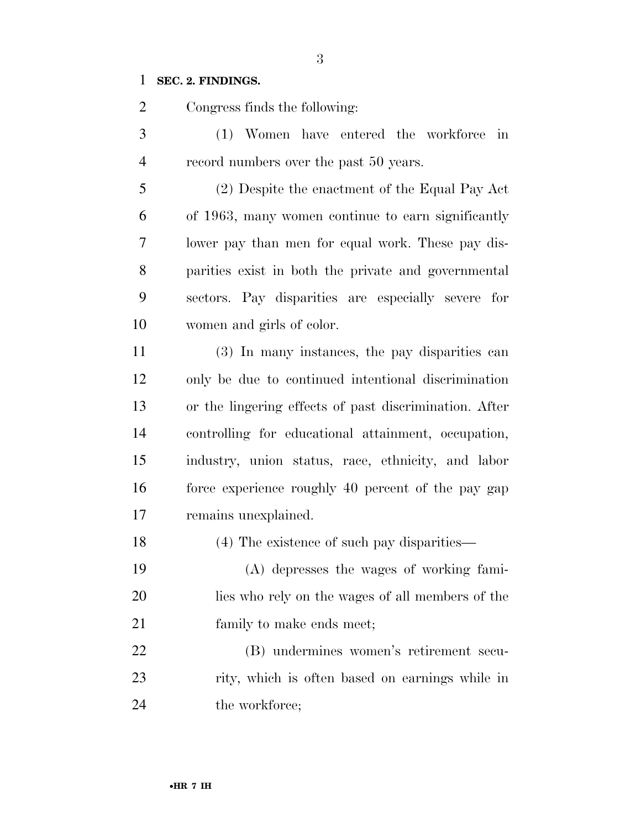#### **SEC. 2. FINDINGS.**

Congress finds the following:

 (1) Women have entered the workforce in record numbers over the past 50 years.

 (2) Despite the enactment of the Equal Pay Act of 1963, many women continue to earn significantly lower pay than men for equal work. These pay dis- parities exist in both the private and governmental sectors. Pay disparities are especially severe for women and girls of color.

 (3) In many instances, the pay disparities can only be due to continued intentional discrimination or the lingering effects of past discrimination. After controlling for educational attainment, occupation, industry, union status, race, ethnicity, and labor force experience roughly 40 percent of the pay gap remains unexplained.

(4) The existence of such pay disparities—

 (A) depresses the wages of working fami- lies who rely on the wages of all members of the 21 family to make ends meet;

 (B) undermines women's retirement secu- rity, which is often based on earnings while in 24 the workforce;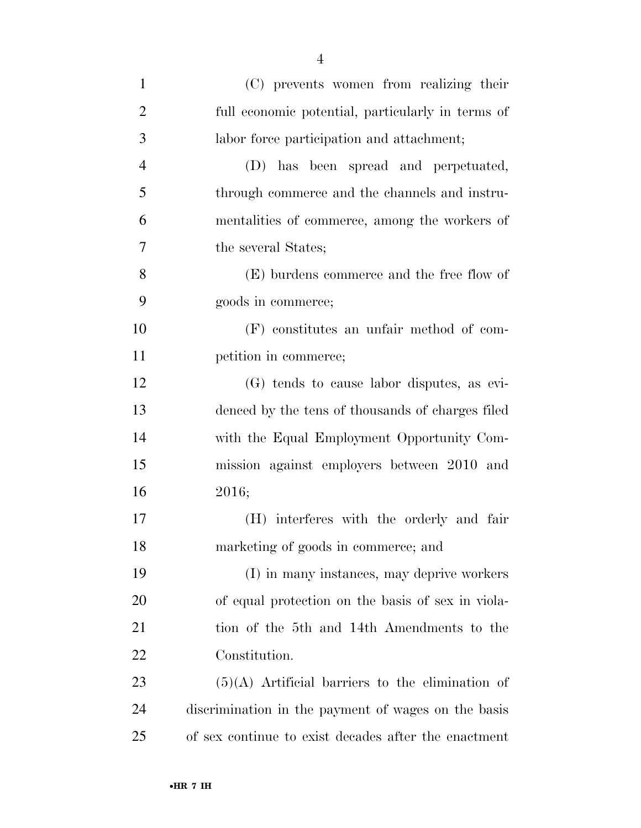| $\mathbf{1}$   | (C) prevents women from realizing their              |
|----------------|------------------------------------------------------|
| $\overline{2}$ | full economic potential, particularly in terms of    |
| 3              | labor force participation and attachment;            |
| $\overline{4}$ | (D) has been spread and perpetuated,                 |
| 5              | through commerce and the channels and instru-        |
| 6              | mentalities of commerce, among the workers of        |
| 7              | the several States;                                  |
| 8              | (E) burdens commerce and the free flow of            |
| 9              | goods in commerce;                                   |
| 10             | (F) constitutes an unfair method of com-             |
| 11             | petition in commerce;                                |
| 12             | (G) tends to cause labor disputes, as evi-           |
| 13             | denced by the tens of thousands of charges filed     |
| 14             | with the Equal Employment Opportunity Com-           |
| 15             | mission against employers between 2010 and           |
| 16             | 2016;                                                |
| 17             | (H) interferes with the orderly and fair             |
| 18             | marketing of goods in commerce; and                  |
| 19             | (I) in many instances, may deprive workers           |
| 20             | of equal protection on the basis of sex in viola-    |
| 21             | tion of the 5th and 14th Amendments to the           |
| 22             | Constitution.                                        |
| 23             | $(5)(A)$ Artificial barriers to the elimination of   |
| 24             | discrimination in the payment of wages on the basis  |
| 25             | of sex continue to exist decades after the enactment |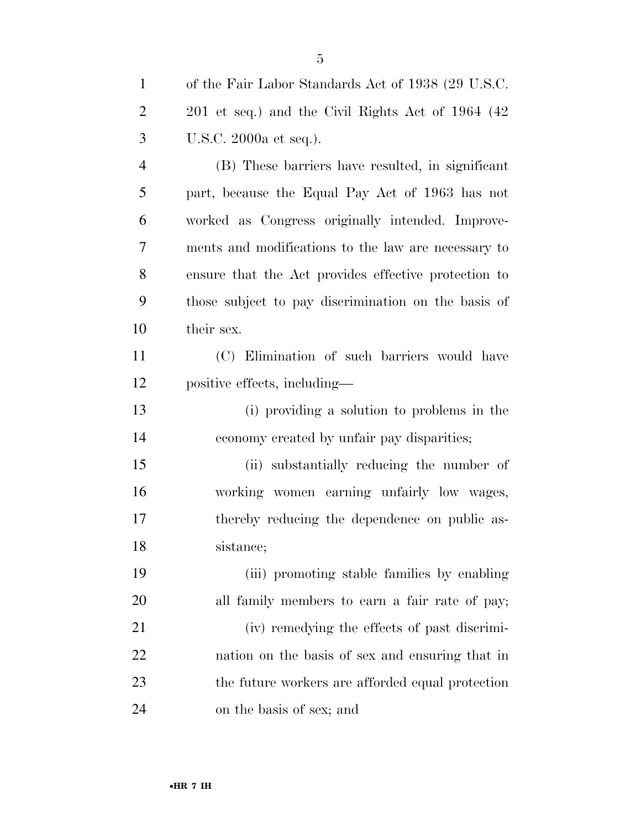| $\mathbf{1}$   | of the Fair Labor Standards Act of 1938 (29 U.S.C.   |
|----------------|------------------------------------------------------|
| $\overline{2}$ | 201 et seq.) and the Civil Rights Act of 1964 (42    |
| 3              | U.S.C. 2000a et seq.).                               |
| $\overline{4}$ | (B) These barriers have resulted, in significant     |
| 5              | part, because the Equal Pay Act of 1963 has not      |
| 6              | worked as Congress originally intended. Improve-     |
| $\tau$         | ments and modifications to the law are necessary to  |
| 8              | ensure that the Act provides effective protection to |
| 9              | those subject to pay discrimination on the basis of  |
| 10             | their sex.                                           |
| 11             | (C) Elimination of such barriers would have          |
| 12             | positive effects, including—                         |
| 13             | (i) providing a solution to problems in the          |
| 14             | economy created by unfair pay disparities;           |
| 15             | (ii) substantially reducing the number of            |
| 16             | working women earning unfairly low wages,            |
| 17             | thereby reducing the dependence on public as-        |
| 18             | sistance;                                            |
| 19             | (iii) promoting stable families by enabling          |
| <b>20</b>      | all family members to earn a fair rate of pay;       |
| 21             | (iv) remedying the effects of past discrimi-         |
| 22             | nation on the basis of sex and ensuring that in      |
| 23             | the future workers are afforded equal protection     |
| 24             | on the basis of sex; and                             |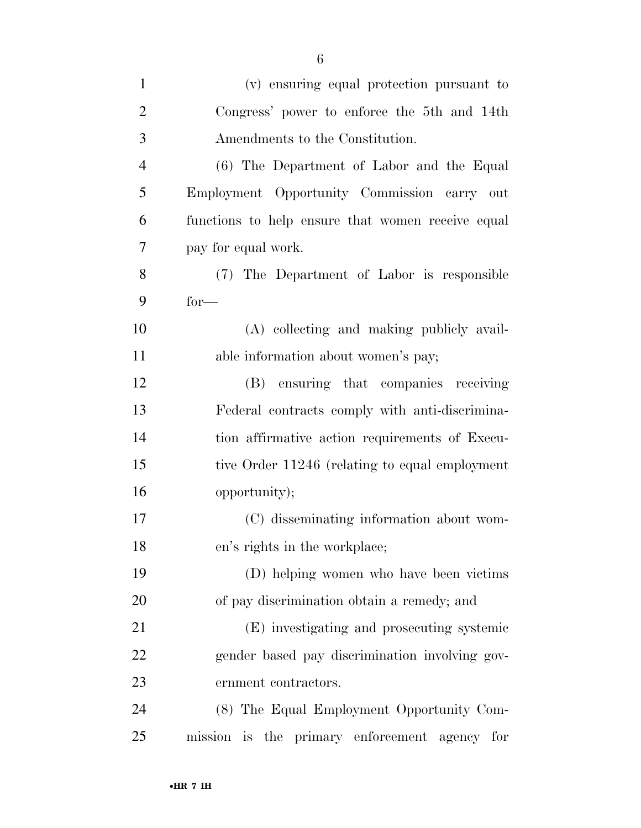| $\mathbf{1}$   | (v) ensuring equal protection pursuant to         |
|----------------|---------------------------------------------------|
| $\overline{2}$ | Congress' power to enforce the 5th and 14th       |
| 3              | Amendments to the Constitution.                   |
| $\overline{4}$ | (6) The Department of Labor and the Equal         |
| 5              | Employment Opportunity Commission carry out       |
| 6              | functions to help ensure that women receive equal |
| 7              | pay for equal work.                               |
| 8              | (7) The Department of Labor is responsible        |
| 9              | $for-$                                            |
| 10             | (A) collecting and making publicly avail-         |
| 11             | able information about women's pay;               |
| 12             | (B) ensuring that companies receiving             |
| 13             | Federal contracts comply with anti-discrimina-    |
| 14             | tion affirmative action requirements of Execu-    |
| 15             | tive Order 11246 (relating to equal employment    |
| 16             | opportunity);                                     |
| 17             | (C) disseminating information about wom-          |
| 18             | en's rights in the workplace;                     |
| 19             | (D) helping women who have been victims           |
| 20             | of pay discrimination obtain a remedy; and        |
| 21             | (E) investigating and prosecuting systemic        |
| 22             | gender based pay discrimination involving gov-    |
| 23             | ernment contractors.                              |
| 24             | (8) The Equal Employment Opportunity Com-         |
| 25             | mission is the primary enforcement agency for     |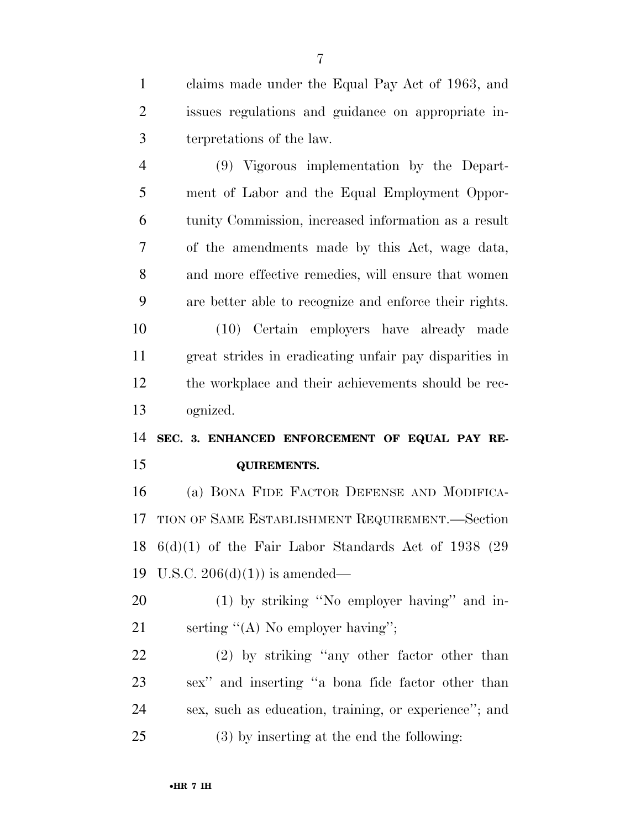claims made under the Equal Pay Act of 1963, and issues regulations and guidance on appropriate in-terpretations of the law.

 (9) Vigorous implementation by the Depart- ment of Labor and the Equal Employment Oppor- tunity Commission, increased information as a result of the amendments made by this Act, wage data, and more effective remedies, will ensure that women are better able to recognize and enforce their rights.

 (10) Certain employers have already made great strides in eradicating unfair pay disparities in the workplace and their achievements should be rec-ognized.

 **SEC. 3. ENHANCED ENFORCEMENT OF EQUAL PAY RE-QUIREMENTS.** 

 (a) BONA FIDE FACTOR DEFENSE AND MODIFICA- TION OF SAME ESTABLISHMENT REQUIREMENT.—Section 6(d)(1) of the Fair Labor Standards Act of 1938 (29 U.S.C. 206(d)(1)) is amended—

 (1) by striking ''No employer having'' and in-21 serting "(A) No employer having";

 (2) by striking ''any other factor other than sex'' and inserting ''a bona fide factor other than sex, such as education, training, or experience''; and (3) by inserting at the end the following: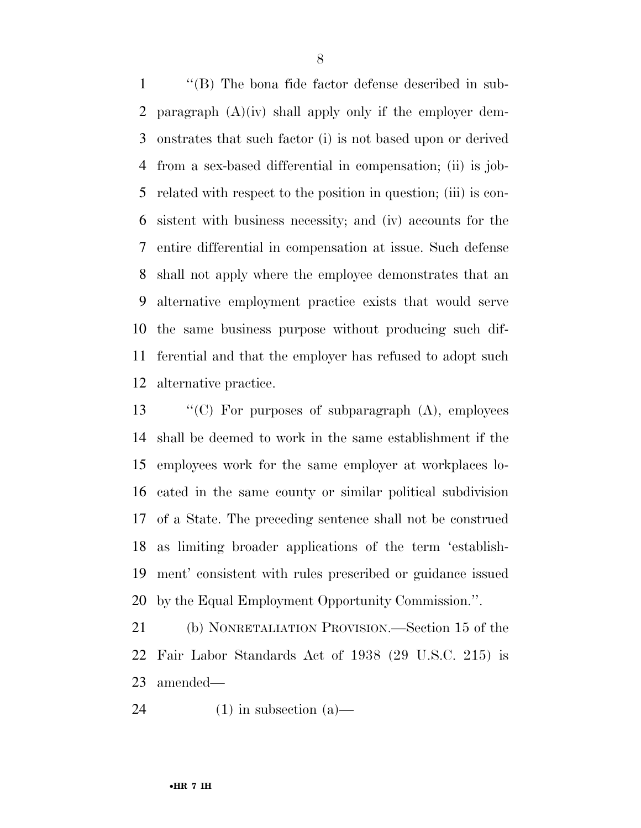''(B) The bona fide factor defense described in sub-2 paragraph  $(A)(iv)$  shall apply only if the employer dem- onstrates that such factor (i) is not based upon or derived from a sex-based differential in compensation; (ii) is job- related with respect to the position in question; (iii) is con- sistent with business necessity; and (iv) accounts for the entire differential in compensation at issue. Such defense shall not apply where the employee demonstrates that an alternative employment practice exists that would serve the same business purpose without producing such dif- ferential and that the employer has refused to adopt such alternative practice.

 ''(C) For purposes of subparagraph (A), employees shall be deemed to work in the same establishment if the employees work for the same employer at workplaces lo- cated in the same county or similar political subdivision of a State. The preceding sentence shall not be construed as limiting broader applications of the term 'establish- ment' consistent with rules prescribed or guidance issued by the Equal Employment Opportunity Commission.''.

 (b) NONRETALIATION PROVISION.—Section 15 of the Fair Labor Standards Act of 1938 (29 U.S.C. 215) is amended—

24 (1) in subsection (a)—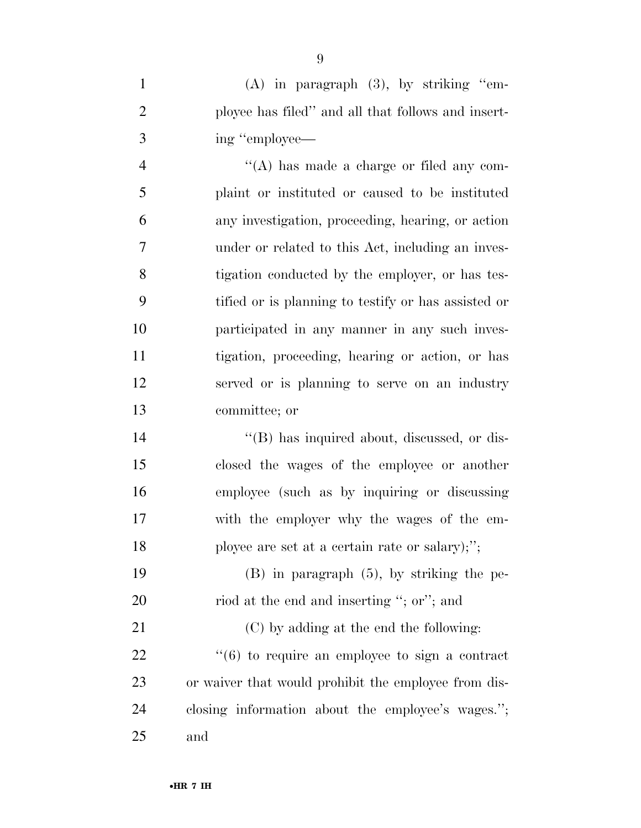(A) in paragraph (3), by striking ''em- ployee has filed'' and all that follows and insert-ing ''employee—

 $\langle (A)$  has made a charge or filed any com- plaint or instituted or caused to be instituted any investigation, proceeding, hearing, or action under or related to this Act, including an inves- tigation conducted by the employer, or has tes- tified or is planning to testify or has assisted or participated in any manner in any such inves- tigation, proceeding, hearing or action, or has served or is planning to serve on an industry committee; or

 $\langle$  (B) has inquired about, discussed, or dis- closed the wages of the employee or another employee (such as by inquiring or discussing with the employer why the wages of the em-ployee are set at a certain rate or salary);'';

 (B) in paragraph (5), by striking the pe-20 riod at the end and inserting "; or"; and

 (C) by adding at the end the following:  $\frac{1}{22}$  ''(6) to require an employee to sign a contract or waiver that would prohibit the employee from dis- closing information about the employee's wages.''; and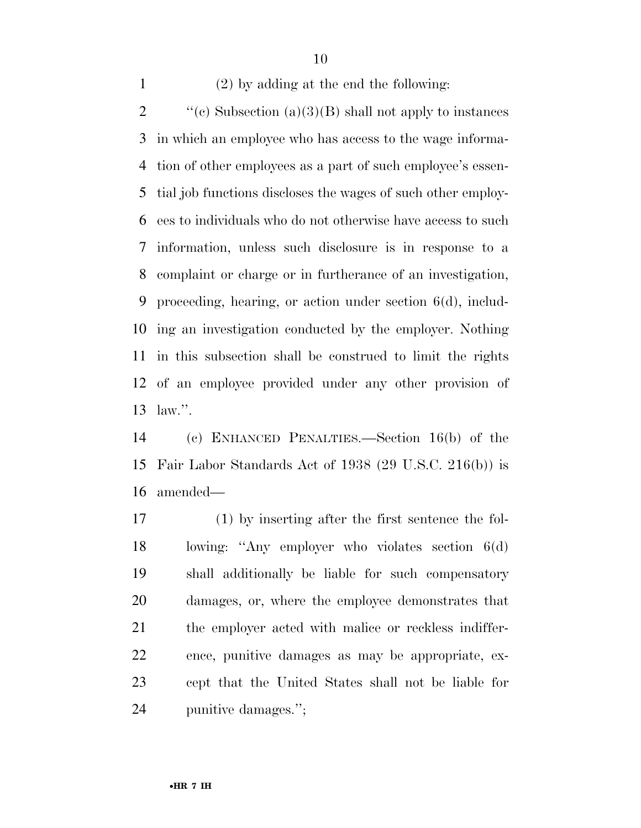(2) by adding at the end the following:

 $\text{``(c)}$  Subsection (a)(3)(B) shall not apply to instances in which an employee who has access to the wage informa- tion of other employees as a part of such employee's essen- tial job functions discloses the wages of such other employ- ees to individuals who do not otherwise have access to such information, unless such disclosure is in response to a complaint or charge or in furtherance of an investigation, proceeding, hearing, or action under section 6(d), includ- ing an investigation conducted by the employer. Nothing in this subsection shall be construed to limit the rights of an employee provided under any other provision of law.''.

 (c) ENHANCED PENALTIES.—Section 16(b) of the Fair Labor Standards Act of 1938 (29 U.S.C. 216(b)) is amended—

 (1) by inserting after the first sentence the fol- lowing: ''Any employer who violates section 6(d) shall additionally be liable for such compensatory damages, or, where the employee demonstrates that 21 the employer acted with malice or reckless indiffer- ence, punitive damages as may be appropriate, ex- cept that the United States shall not be liable for punitive damages.'';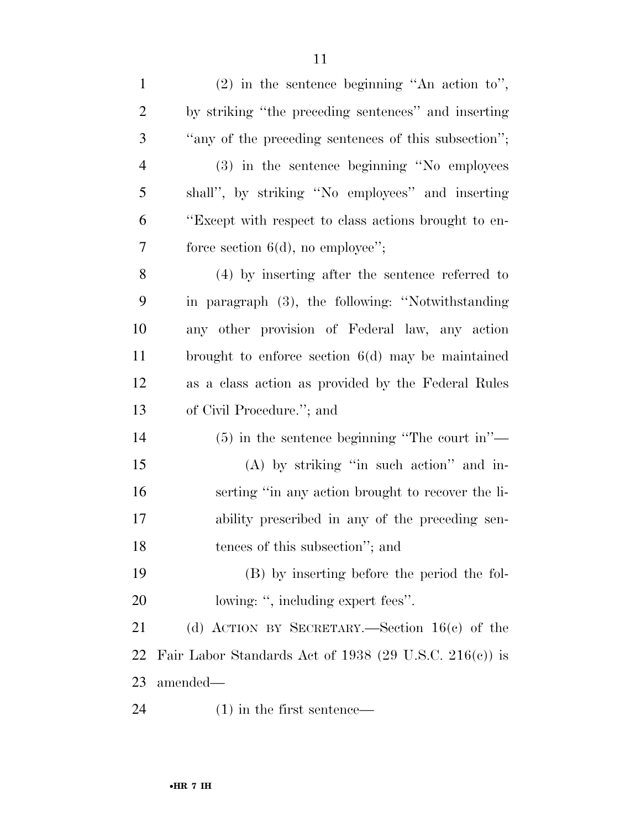| $\mathbf{1}$   | $(2)$ in the sentence beginning "An action to",        |
|----------------|--------------------------------------------------------|
| $\overline{2}$ | by striking "the preceding sentences" and inserting    |
| 3              | "any of the preceding sentences of this subsection";   |
| $\overline{4}$ | (3) in the sentence beginning "No employees"           |
| 5              | shall", by striking "No employees" and inserting       |
| 6              | "Except with respect to class actions brought to en-   |
| 7              | force section $6(d)$ , no employee";                   |
| 8              | $(4)$ by inserting after the sentence referred to      |
| 9              | in paragraph (3), the following: "Notwithstanding      |
| 10             | any other provision of Federal law, any action         |
| 11             | brought to enforce section $6(d)$ may be maintained    |
| 12             | as a class action as provided by the Federal Rules     |
| 13             | of Civil Procedure."; and                              |
| 14             | $(5)$ in the sentence beginning "The court in"—        |
| 15             | $(A)$ by striking "in such action" and in-             |
| 16             | serting "in any action brought to recover the li-      |
| 17             | ability prescribed in any of the preceding sen-        |
| 18             | tences of this subsection"; and                        |
| 19             | (B) by inserting before the period the fol-            |
| 20             | lowing: ", including expert fees".                     |
| 21             | (d) ACTION BY SECRETARY.—Section $16(c)$ of the        |
| 22             | Fair Labor Standards Act of 1938 (29 U.S.C. 216(c)) is |
| 23             | amended—                                               |
| 24             | $(1)$ in the first sentence—                           |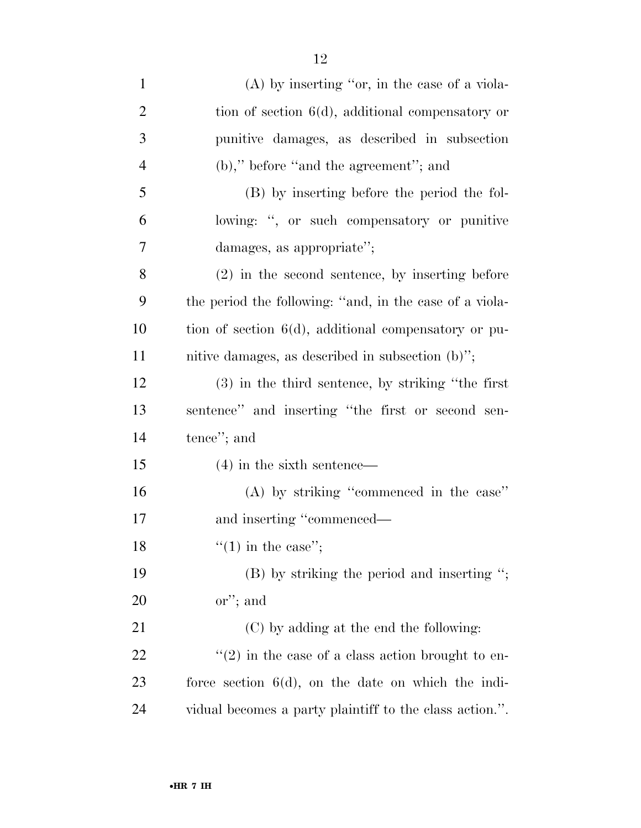| $\mathbf{1}$   | $(A)$ by inserting "or, in the case of a viola-         |
|----------------|---------------------------------------------------------|
| $\overline{2}$ | tion of section $6(d)$ , additional compensatory or     |
| 3              | punitive damages, as described in subsection            |
| $\overline{4}$ | $(b)$ ," before "and the agreement"; and                |
| 5              | (B) by inserting before the period the fol-             |
| 6              | lowing: ", or such compensatory or punitive             |
| $\overline{7}$ | damages, as appropriate";                               |
| 8              | $(2)$ in the second sentence, by inserting before       |
| 9              | the period the following: "and, in the case of a viola- |
| 10             | tion of section $6(d)$ , additional compensatory or pu- |
| 11             | nitive damages, as described in subsection (b)";        |
| 12             | $(3)$ in the third sentence, by striking "the first"    |
| 13             | sentence" and inserting "the first or second sen-       |
| 14             | tence"; and                                             |
| 15             | $(4)$ in the sixth sentence—                            |
| 16             | (A) by striking "commenced in the case"                 |
| 17             | and inserting "commenced—                               |
| 18             | "(1) in the case";                                      |
| 19             | $(B)$ by striking the period and inserting ";           |
| 20             | $\alpha$ "; and                                         |
| 21             | (C) by adding at the end the following:                 |
| 22             | $\lq(2)$ in the case of a class action brought to en-   |
| 23             | force section $6(d)$ , on the date on which the indi-   |
| 24             | vidual becomes a party plaintiff to the class action.". |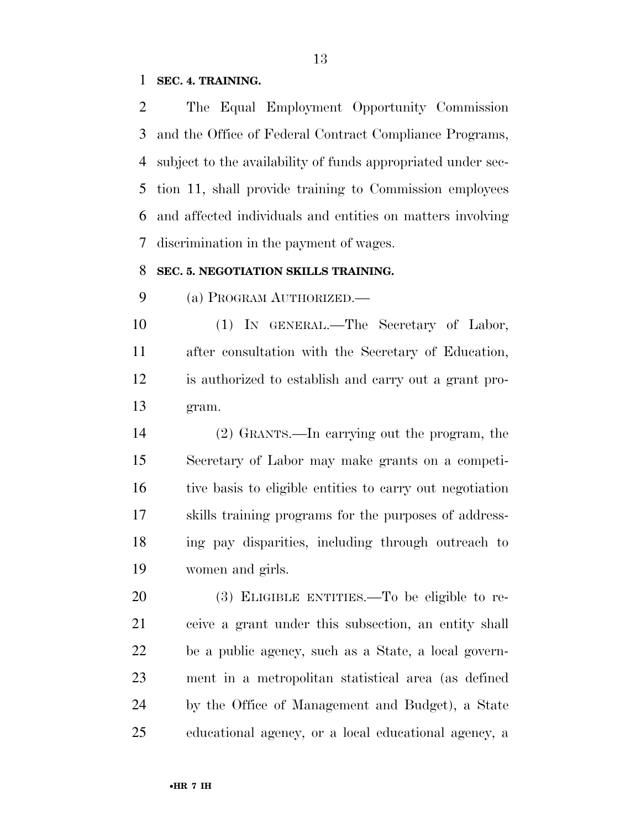#### **SEC. 4. TRAINING.**

 The Equal Employment Opportunity Commission and the Office of Federal Contract Compliance Programs, subject to the availability of funds appropriated under sec- tion 11, shall provide training to Commission employees and affected individuals and entities on matters involving discrimination in the payment of wages.

#### **SEC. 5. NEGOTIATION SKILLS TRAINING.**

(a) PROGRAM AUTHORIZED.—

 (1) IN GENERAL.—The Secretary of Labor, after consultation with the Secretary of Education, is authorized to establish and carry out a grant pro-gram.

 (2) GRANTS.—In carrying out the program, the Secretary of Labor may make grants on a competi- tive basis to eligible entities to carry out negotiation skills training programs for the purposes of address- ing pay disparities, including through outreach to women and girls.

 (3) ELIGIBLE ENTITIES.—To be eligible to re- ceive a grant under this subsection, an entity shall be a public agency, such as a State, a local govern- ment in a metropolitan statistical area (as defined by the Office of Management and Budget), a State educational agency, or a local educational agency, a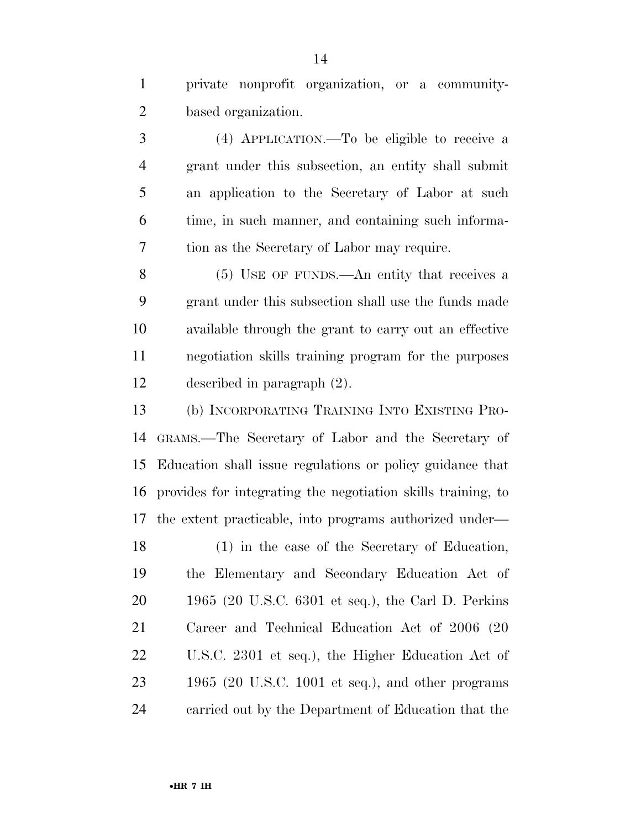private nonprofit organization, or a community-based organization.

 (4) APPLICATION.—To be eligible to receive a grant under this subsection, an entity shall submit an application to the Secretary of Labor at such time, in such manner, and containing such informa-tion as the Secretary of Labor may require.

 (5) USE OF FUNDS.—An entity that receives a grant under this subsection shall use the funds made available through the grant to carry out an effective negotiation skills training program for the purposes described in paragraph (2).

 (b) INCORPORATING TRAINING INTO EXISTING PRO- GRAMS.—The Secretary of Labor and the Secretary of Education shall issue regulations or policy guidance that provides for integrating the negotiation skills training, to the extent practicable, into programs authorized under—

 (1) in the case of the Secretary of Education, the Elementary and Secondary Education Act of 1965 (20 U.S.C. 6301 et seq.), the Carl D. Perkins Career and Technical Education Act of 2006 (20 U.S.C. 2301 et seq.), the Higher Education Act of 1965 (20 U.S.C. 1001 et seq.), and other programs carried out by the Department of Education that the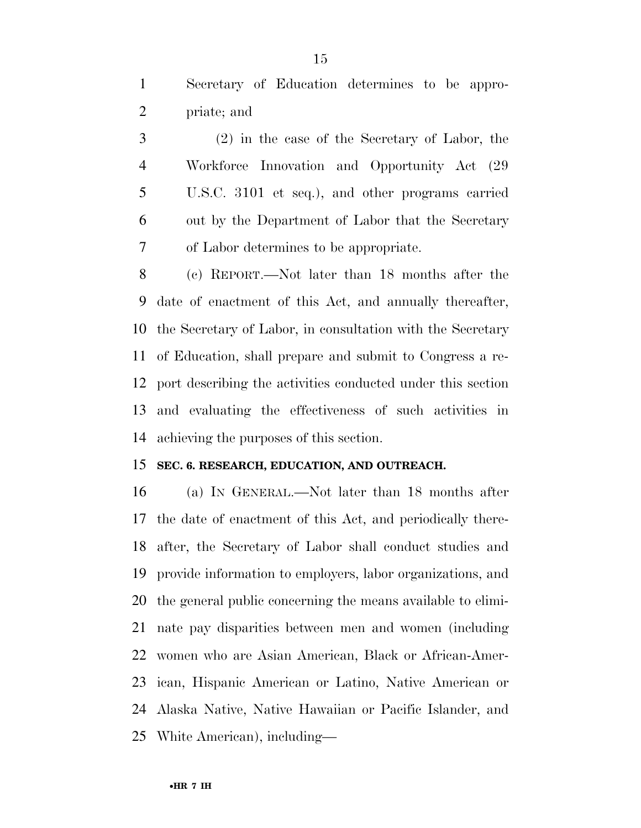Secretary of Education determines to be appro-priate; and

 (2) in the case of the Secretary of Labor, the Workforce Innovation and Opportunity Act (29 U.S.C. 3101 et seq.), and other programs carried out by the Department of Labor that the Secretary of Labor determines to be appropriate.

 (c) REPORT.—Not later than 18 months after the date of enactment of this Act, and annually thereafter, the Secretary of Labor, in consultation with the Secretary of Education, shall prepare and submit to Congress a re- port describing the activities conducted under this section and evaluating the effectiveness of such activities in achieving the purposes of this section.

#### **SEC. 6. RESEARCH, EDUCATION, AND OUTREACH.**

 (a) IN GENERAL.—Not later than 18 months after the date of enactment of this Act, and periodically there- after, the Secretary of Labor shall conduct studies and provide information to employers, labor organizations, and the general public concerning the means available to elimi- nate pay disparities between men and women (including women who are Asian American, Black or African-Amer- ican, Hispanic American or Latino, Native American or Alaska Native, Native Hawaiian or Pacific Islander, and White American), including—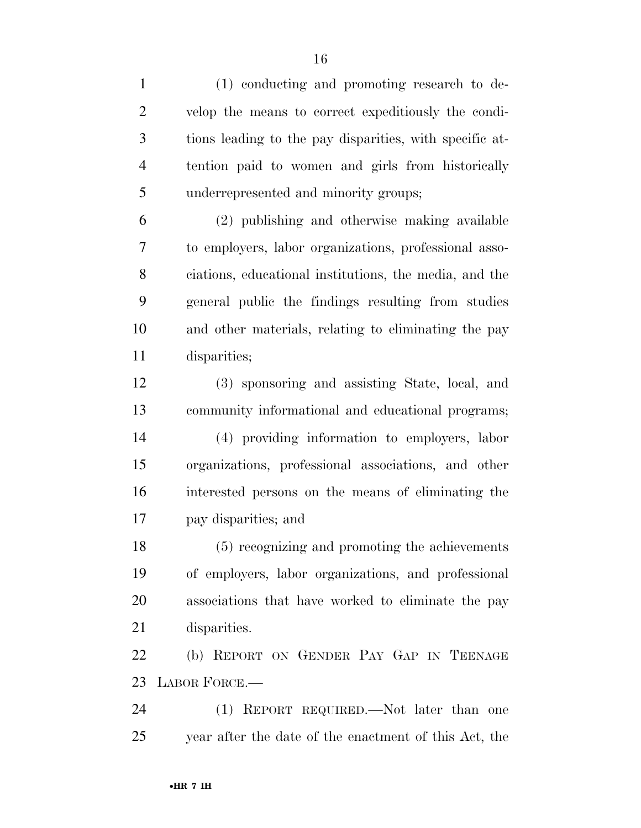| $\mathbf{1}$   | (1) conducting and promoting research to de-            |
|----------------|---------------------------------------------------------|
| $\overline{2}$ | velop the means to correct expeditiously the condi-     |
| 3              | tions leading to the pay disparities, with specific at- |
| $\overline{4}$ | tention paid to women and girls from historically       |
| 5              | underrepresented and minority groups;                   |
| 6              | (2) publishing and otherwise making available           |
| 7              | to employers, labor organizations, professional asso-   |
| 8              | ciations, educational institutions, the media, and the  |
| 9              | general public the findings resulting from studies      |
| 10             | and other materials, relating to eliminating the pay    |
| 11             | disparities;                                            |
| 12             | (3) sponsoring and assisting State, local, and          |
| 13             | community informational and educational programs;       |
| 14             | (4) providing information to employers, labor           |
| 15             | organizations, professional associations, and other     |
| 16             | interested persons on the means of eliminating the      |
| 17             | pay disparities; and                                    |
| 18             | (5) recognizing and promoting the achievements          |
| 19             | of employers, labor organizations, and professional     |
| 20             | associations that have worked to eliminate the pay      |
| 21             | disparities.                                            |
| 22             | (b) REPORT ON GENDER PAY GAP IN TEENAGE                 |
| 23             | LABOR FORCE.-                                           |
| 24             | (1) REPORT REQUIRED.—Not later than one                 |
| 25             | year after the date of the enactment of this Act, the   |
|                |                                                         |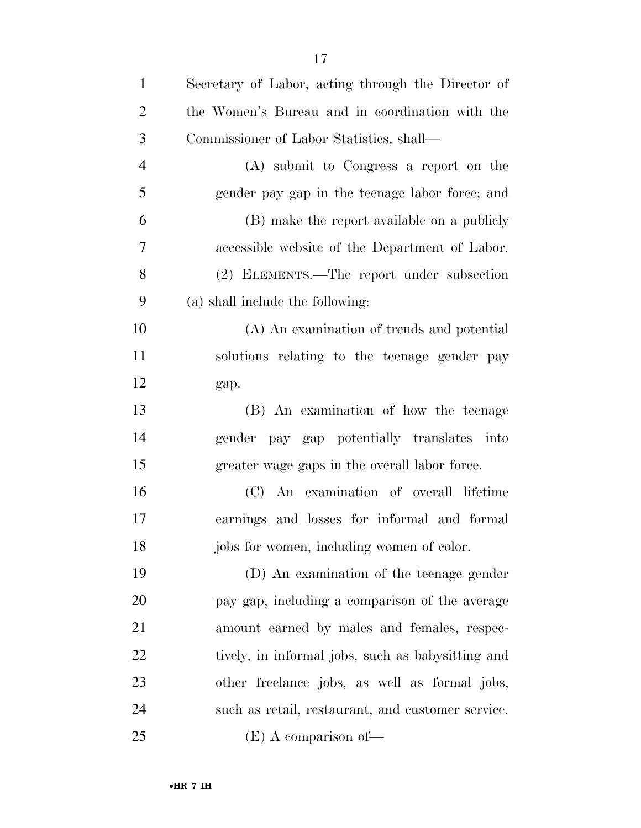| $\mathbf{1}$   | Secretary of Labor, acting through the Director of |
|----------------|----------------------------------------------------|
| $\overline{2}$ | the Women's Bureau and in coordination with the    |
| 3              | Commissioner of Labor Statistics, shall—           |
| $\overline{4}$ | (A) submit to Congress a report on the             |
| 5              | gender pay gap in the teenage labor force; and     |
| 6              | (B) make the report available on a publicly        |
| 7              | accessible website of the Department of Labor.     |
| 8              | (2) ELEMENTS.—The report under subsection          |
| 9              | (a) shall include the following:                   |
| 10             | (A) An examination of trends and potential         |
| 11             | solutions relating to the teenage gender pay       |
| 12             | gap.                                               |
| 13             | (B) An examination of how the teenage              |
| 14             | gender pay gap potentially translates into         |
| 15             | greater wage gaps in the overall labor force.      |
| 16             | (C) An examination of overall lifetime             |
| 17             | earnings and losses for informal and formal        |
| 18             | jobs for women, including women of color.          |
| 19             | (D) An examination of the teenage gender           |
| 20             | pay gap, including a comparison of the average     |
| 21             | amount earned by males and females, respec-        |
| 22             | tively, in informal jobs, such as babysitting and  |
| 23             | other freelance jobs, as well as formal jobs,      |
| 24             | such as retail, restaurant, and customer service.  |
| 25             | $(E)$ A comparison of —                            |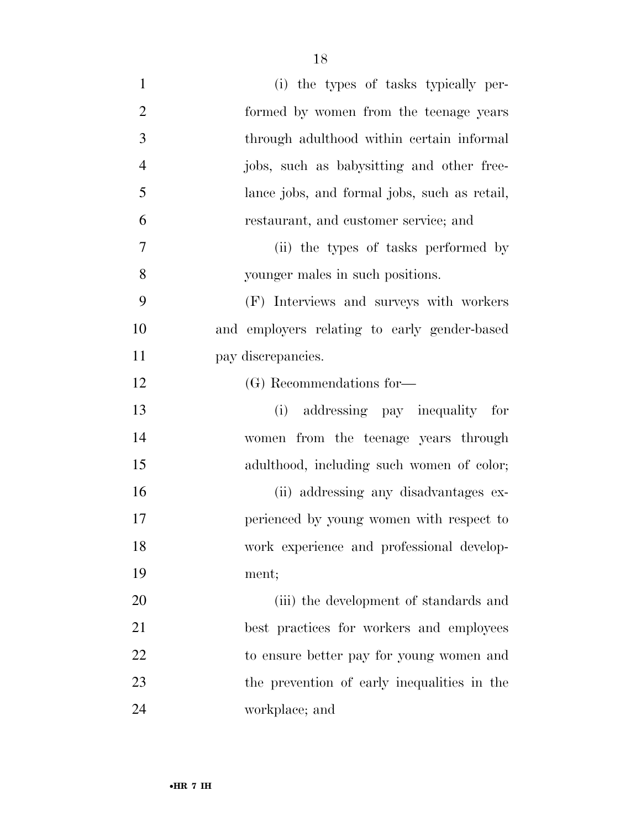| $\mathbf{1}$   | (i) the types of tasks typically per-        |
|----------------|----------------------------------------------|
| $\overline{2}$ | formed by women from the teenage years       |
| 3              | through adulthood within certain informal    |
| $\overline{4}$ | jobs, such as babysitting and other free-    |
| 5              | lance jobs, and formal jobs, such as retail, |
| 6              | restaurant, and customer service; and        |
| 7              | (ii) the types of tasks performed by         |
| 8              | younger males in such positions.             |
| 9              | (F) Interviews and surveys with workers      |
| 10             | and employers relating to early gender-based |
| 11             | pay discrepancies.                           |
| 12             | (G) Recommendations for-                     |
|                |                                              |
| 13             | (i) addressing pay inequality for            |
| 14             | women from the teenage years through         |
| 15             | adulthood, including such women of color;    |
| 16             | (ii) addressing any disadvantages ex-        |
| 17             | perienced by young women with respect to     |
| 18             | work experience and professional develop-    |
| 19             | ment;                                        |
| 20             | (iii) the development of standards and       |
| 21             | best practices for workers and employees     |
| 22             | to ensure better pay for young women and     |
| 23             | the prevention of early inequalities in the  |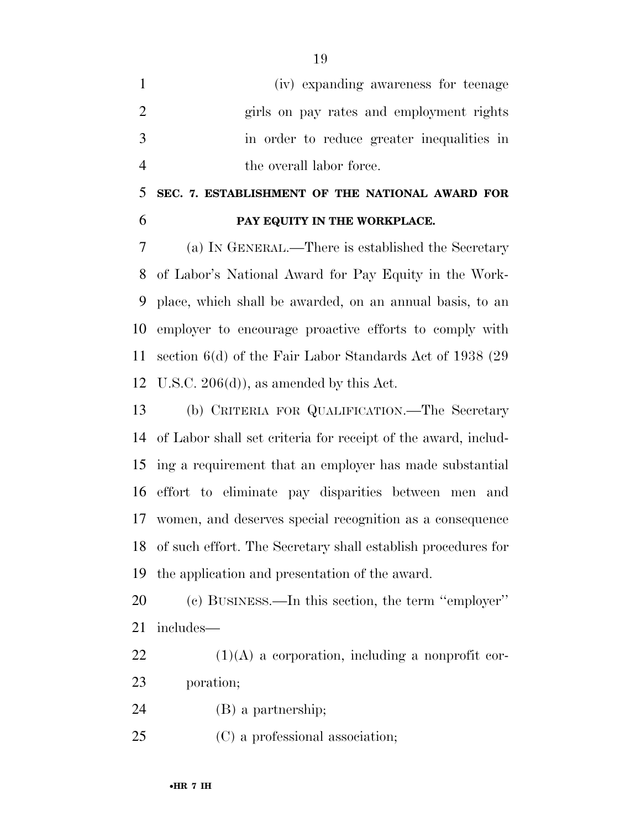- (iv) expanding awareness for teenage girls on pay rates and employment rights in order to reduce greater inequalities in 4 the overall labor force.
- **SEC. 7. ESTABLISHMENT OF THE NATIONAL AWARD FOR PAY EQUITY IN THE WORKPLACE.**

 (a) IN GENERAL.—There is established the Secretary of Labor's National Award for Pay Equity in the Work- place, which shall be awarded, on an annual basis, to an employer to encourage proactive efforts to comply with section 6(d) of the Fair Labor Standards Act of 1938 (29 U.S.C. 206(d)), as amended by this Act.

 (b) CRITERIA FOR QUALIFICATION.—The Secretary of Labor shall set criteria for receipt of the award, includ- ing a requirement that an employer has made substantial effort to eliminate pay disparities between men and women, and deserves special recognition as a consequence of such effort. The Secretary shall establish procedures for the application and presentation of the award.

 (c) BUSINESS.—In this section, the term ''employer'' includes—

 (1)(A) a corporation, including a nonprofit cor-poration;

(B) a partnership;

(C) a professional association;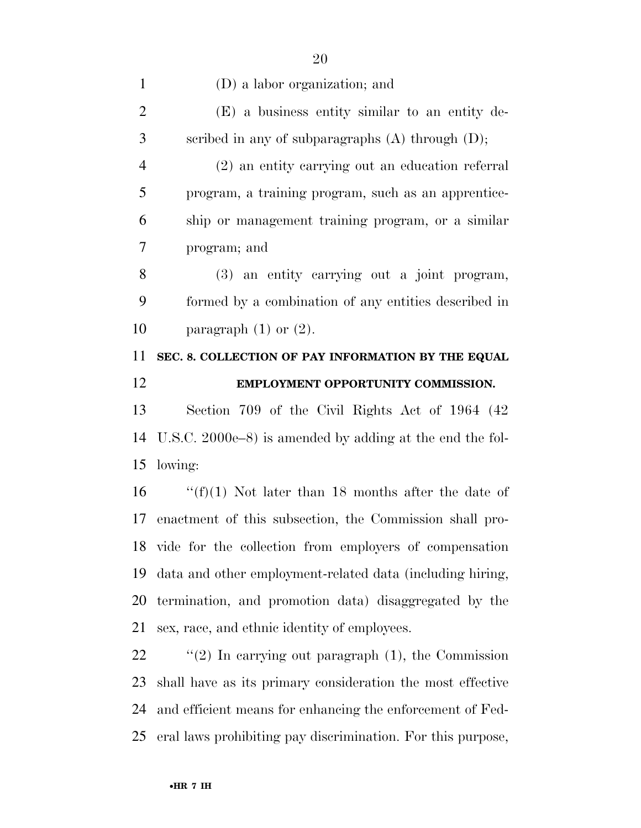(2) an entity carrying out an education referral program, a training program, such as an apprentice- ship or management training program, or a similar program; and

 (3) an entity carrying out a joint program, formed by a combination of any entities described in 10 paragraph  $(1)$  or  $(2)$ .

## **SEC. 8. COLLECTION OF PAY INFORMATION BY THE EQUAL EMPLOYMENT OPPORTUNITY COMMISSION.**

 Section 709 of the Civil Rights Act of 1964 (42 U.S.C. 2000e–8) is amended by adding at the end the fol-lowing:

 $\frac{f(f)}{1}$  Not later than 18 months after the date of enactment of this subsection, the Commission shall pro- vide for the collection from employers of compensation data and other employment-related data (including hiring, termination, and promotion data) disaggregated by the sex, race, and ethnic identity of employees.

 ''(2) In carrying out paragraph (1), the Commission shall have as its primary consideration the most effective and efficient means for enhancing the enforcement of Fed-eral laws prohibiting pay discrimination. For this purpose,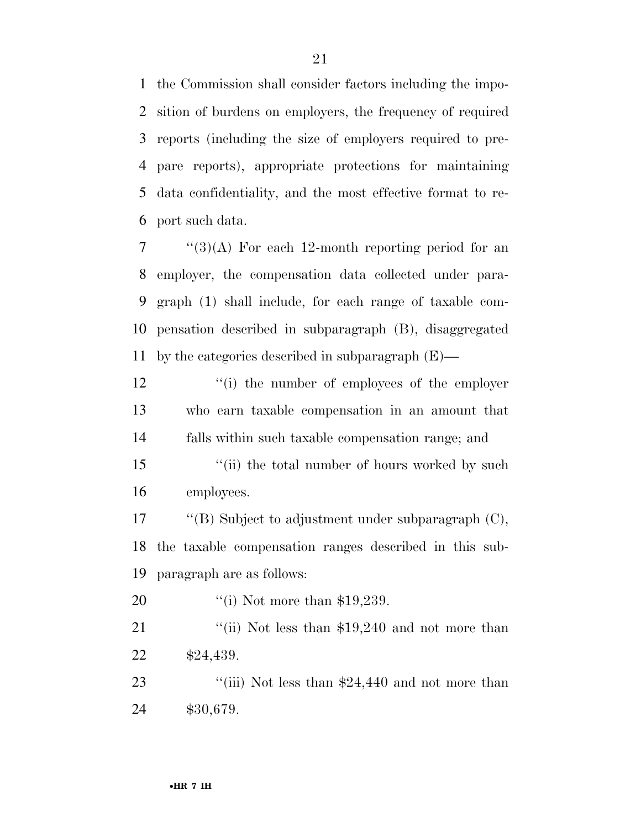the Commission shall consider factors including the impo- sition of burdens on employers, the frequency of required reports (including the size of employers required to pre- pare reports), appropriate protections for maintaining data confidentiality, and the most effective format to re-port such data.

 "(3)(A) For each 12-month reporting period for an employer, the compensation data collected under para- graph (1) shall include, for each range of taxable com- pensation described in subparagraph (B), disaggregated by the categories described in subparagraph (E)—

12 ''(i) the number of employees of the employer who earn taxable compensation in an amount that falls within such taxable compensation range; and

15 ''(ii) the total number of hours worked by such employees.

 ''(B) Subject to adjustment under subparagraph (C), the taxable compensation ranges described in this sub-paragraph are as follows:

20 '(i) Not more than \$19,239.

21 ''(ii) Not less than \$19,240 and not more than \$24,439.

23 ''(iii) Not less than \$24,440 and not more than \$30,679.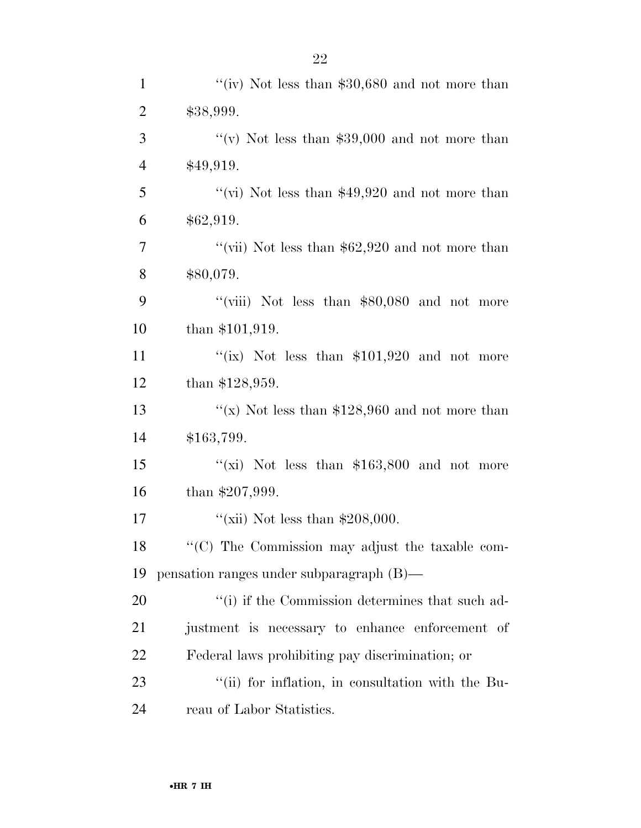| $\mathbf{1}$   | "(iv) Not less than $$30,680$ and not more than   |
|----------------|---------------------------------------------------|
| $\overline{2}$ | \$38,999.                                         |
| 3              | "(v) Not less than $$39,000$ and not more than    |
| $\overline{4}$ | \$49,919.                                         |
| $\mathfrak{S}$ | "(vi) Not less than $$49,920$ and not more than   |
| 6              | \$62,919.                                         |
| $\tau$         | "(vii) Not less than $$62,920$ and not more than  |
| $8\,$          | \$80,079.                                         |
| 9              | "(viii) Not less than $$80,080$ and not more      |
| 10             | than $$101,919$ .                                 |
| 11             | "(ix) Not less than $$101,920$ and not more       |
| 12             | than $$128,959$ .                                 |
| 13             | "(x) Not less than $$128,960$ and not more than   |
| 14             | \$163,799.                                        |
| 15             | "(xi) Not less than $$163,800$ and not more       |
| 16             | than $$207,999$ .                                 |
| 17             | "(xii) Not less than $$208,000$ .                 |
| 18             | "(C) The Commission may adjust the taxable com-   |
| 19             | pensation ranges under subparagraph (B)—          |
| 20             | "(i) if the Commission determines that such ad-   |
| 21             | justment is necessary to enhance enforcement of   |
| 22             | Federal laws prohibiting pay discrimination; or   |
| 23             | "(ii) for inflation, in consultation with the Bu- |
| 24             | reau of Labor Statistics.                         |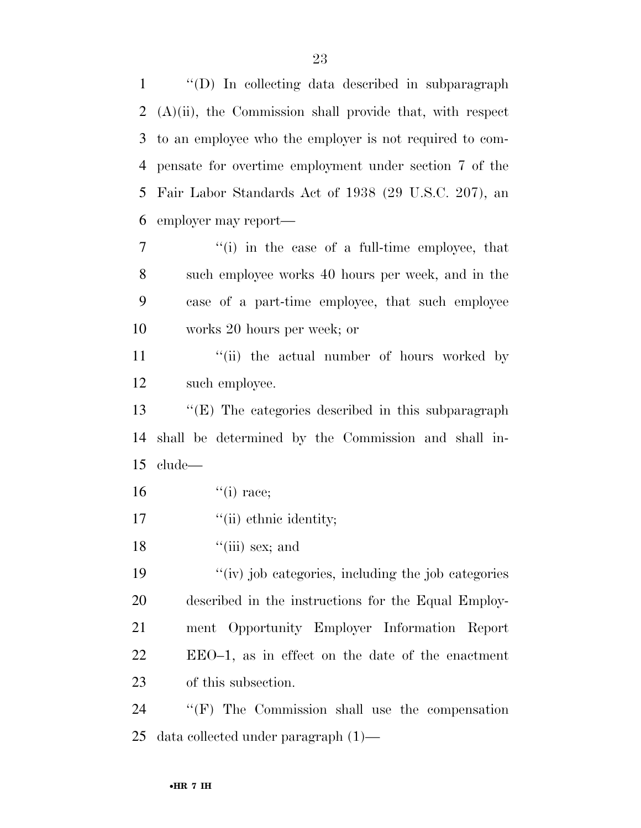''(D) In collecting data described in subparagraph (A)(ii), the Commission shall provide that, with respect to an employee who the employer is not required to com- pensate for overtime employment under section 7 of the Fair Labor Standards Act of 1938 (29 U.S.C. 207), an employer may report— ''(i) in the case of a full-time employee, that

 such employee works 40 hours per week, and in the case of a part-time employee, that such employee works 20 hours per week; or

11 ''(ii) the actual number of hours worked by such employee.

 ''(E) The categories described in this subparagraph shall be determined by the Commission and shall in-clude—

- ''(i) race:
- 17  $\frac{1}{10}$  ethnic identity;
- 18  $"$ (iii) sex; and

 ''(iv) job categories, including the job categories described in the instructions for the Equal Employ- ment Opportunity Employer Information Report EEO–1, as in effect on the date of the enactment of this subsection.

 ''(F) The Commission shall use the compensation data collected under paragraph (1)—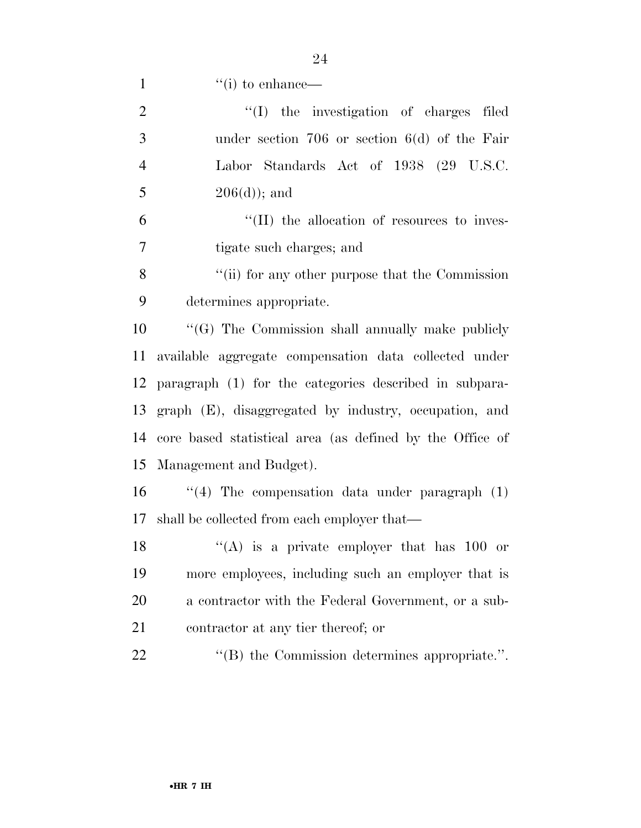1  $"(i)$  to enhance—

| $\overline{2}$ | "(I) the investigation of charges filed                  |
|----------------|----------------------------------------------------------|
| 3              | under section $706$ or section $6(d)$ of the Fair        |
| $\overline{4}$ | Labor Standards Act of 1938 (29 U.S.C.                   |
| 5              | $206(d)$ ; and                                           |
| 6              | $\lq\lq$ (II) the allocation of resources to inves-      |
| 7              | tigate such charges; and                                 |
| 8              | "(ii) for any other purpose that the Commission          |
| 9              | determines appropriate.                                  |
| 10             | "(G) The Commission shall annually make publicly         |
| 11             | available aggregate compensation data collected under    |
| 12             | paragraph (1) for the categories described in subpara-   |
| 13             | graph (E), disaggregated by industry, occupation, and    |
| 14             | core based statistical area (as defined by the Office of |
| 15             | Management and Budget).                                  |
| 16             | "(4) The compensation data under paragraph $(1)$         |
| 17             | shall be collected from each employer that—              |
| 18             | "(A) is a private employer that has $100$ or             |
| 19             | more employees, including such an employer that is       |
| 20             | a contractor with the Federal Government, or a sub-      |
| 21             | contractor at any tier thereof; or                       |
| 22             | $\cdot$ (B) the Commission determines appropriate.".     |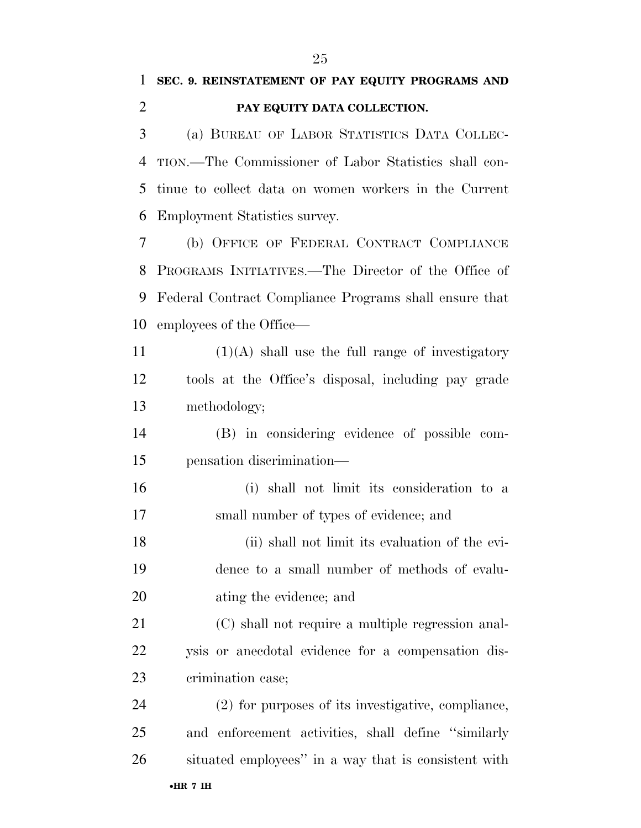## **SEC. 9. REINSTATEMENT OF PAY EQUITY PROGRAMS AND PAY EQUITY DATA COLLECTION.**

 (a) BUREAU OF LABOR STATISTICS DATA COLLEC- TION.—The Commissioner of Labor Statistics shall con- tinue to collect data on women workers in the Current Employment Statistics survey.

 (b) OFFICE OF FEDERAL CONTRACT COMPLIANCE PROGRAMS INITIATIVES.—The Director of the Office of Federal Contract Compliance Programs shall ensure that employees of the Office—

11  $(1)(A)$  shall use the full range of investigatory tools at the Office's disposal, including pay grade methodology;

 (B) in considering evidence of possible com-pensation discrimination—

 (i) shall not limit its consideration to a small number of types of evidence; and

 (ii) shall not limit its evaluation of the evi- dence to a small number of methods of evalu-ating the evidence; and

 (C) shall not require a multiple regression anal- ysis or anecdotal evidence for a compensation dis-crimination case;

 (2) for purposes of its investigative, compliance, and enforcement activities, shall define ''similarly situated employees'' in a way that is consistent with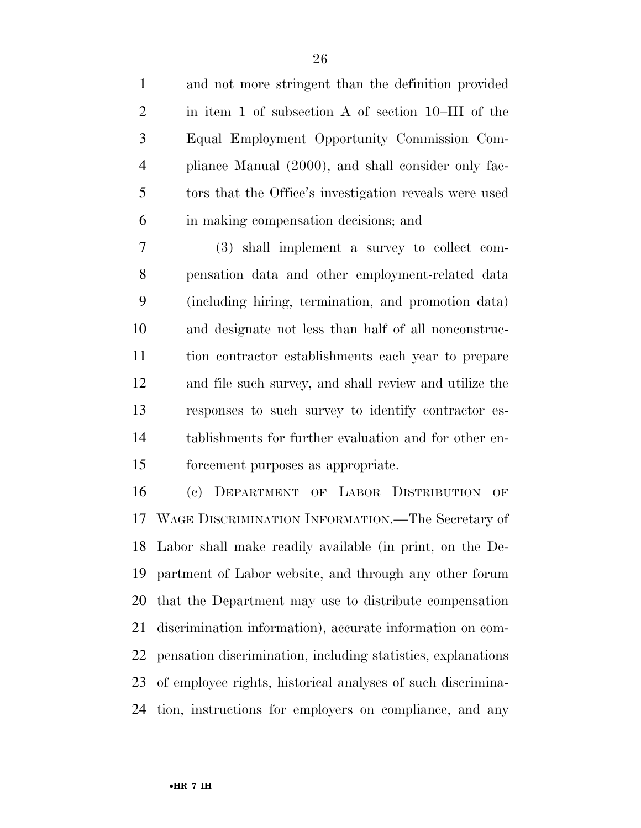and not more stringent than the definition provided in item 1 of subsection A of section 10–III of the Equal Employment Opportunity Commission Com- pliance Manual (2000), and shall consider only fac- tors that the Office's investigation reveals were used in making compensation decisions; and

 (3) shall implement a survey to collect com- pensation data and other employment-related data (including hiring, termination, and promotion data) and designate not less than half of all nonconstruc- tion contractor establishments each year to prepare and file such survey, and shall review and utilize the responses to such survey to identify contractor es- tablishments for further evaluation and for other en-forcement purposes as appropriate.

 (c) DEPARTMENT OF LABOR DISTRIBUTION OF WAGE DISCRIMINATION INFORMATION.—The Secretary of Labor shall make readily available (in print, on the De- partment of Labor website, and through any other forum that the Department may use to distribute compensation discrimination information), accurate information on com- pensation discrimination, including statistics, explanations of employee rights, historical analyses of such discrimina-tion, instructions for employers on compliance, and any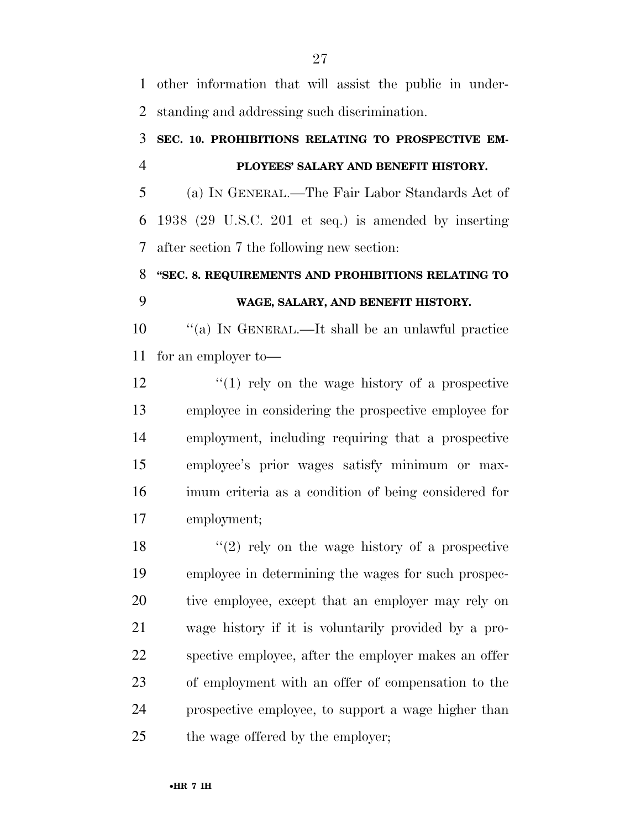other information that will assist the public in under-standing and addressing such discrimination.

### **SEC. 10. PROHIBITIONS RELATING TO PROSPECTIVE EM-PLOYEES' SALARY AND BENEFIT HISTORY.**

 (a) IN GENERAL.—The Fair Labor Standards Act of 1938 (29 U.S.C. 201 et seq.) is amended by inserting after section 7 the following new section:

## **''SEC. 8. REQUIREMENTS AND PROHIBITIONS RELATING TO WAGE, SALARY, AND BENEFIT HISTORY.**

 ''(a) IN GENERAL.—It shall be an unlawful practice for an employer to—

12 ''(1) rely on the wage history of a prospective employee in considering the prospective employee for employment, including requiring that a prospective employee's prior wages satisfy minimum or max- imum criteria as a condition of being considered for employment;

18 ''(2) rely on the wage history of a prospective employee in determining the wages for such prospec- tive employee, except that an employer may rely on wage history if it is voluntarily provided by a pro- spective employee, after the employer makes an offer of employment with an offer of compensation to the prospective employee, to support a wage higher than 25 the wage offered by the employer;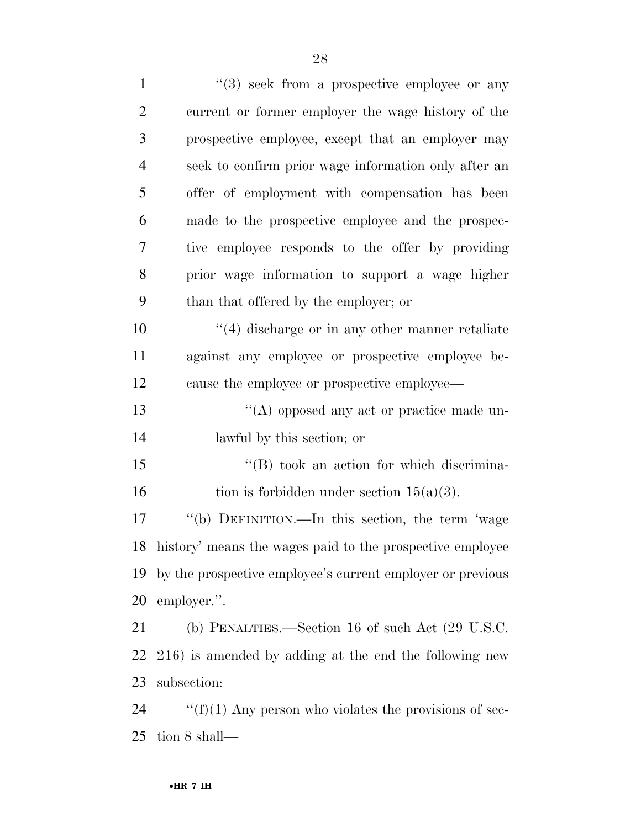| $\mathbf 1$    | $(3)$ seek from a prospective employee or any                |
|----------------|--------------------------------------------------------------|
| $\overline{2}$ | current or former employer the wage history of the           |
| 3              | prospective employee, except that an employer may            |
| $\overline{4}$ | seek to confirm prior wage information only after an         |
| 5              | offer of employment with compensation has been               |
| 6              | made to the prospective employee and the prospec-            |
| 7              | tive employee responds to the offer by providing             |
| 8              | prior wage information to support a wage higher              |
| 9              | than that offered by the employer; or                        |
| 10             | $\cdot$ (4) discharge or in any other manner retaliate       |
| 11             | against any employee or prospective employee be-             |
| 12             | cause the employee or prospective employee—                  |
| 13             | $\lq\lq$ opposed any act or practice made un-                |
| 14             | lawful by this section; or                                   |
| 15             | $\lq\lq (B)$ took an action for which discrimina-            |
| 16             | tion is forbidden under section $15(a)(3)$ .                 |
| 17             | "(b) DEFINITION.—In this section, the term 'wage             |
|                | 18 history' means the wages paid to the prospective employee |
| 19             | by the prospective employee's current employer or previous   |
| 20             | employer.".                                                  |
| 21             | (b) PENALTIES.—Section 16 of such Act (29 U.S.C.             |
| <u>22</u>      | 216) is amended by adding at the end the following new       |
| 23             | subsection:                                                  |
| 24             | " $(f)(1)$ Any person who violates the provisions of sec-    |
| 25             | tion 8 shall—                                                |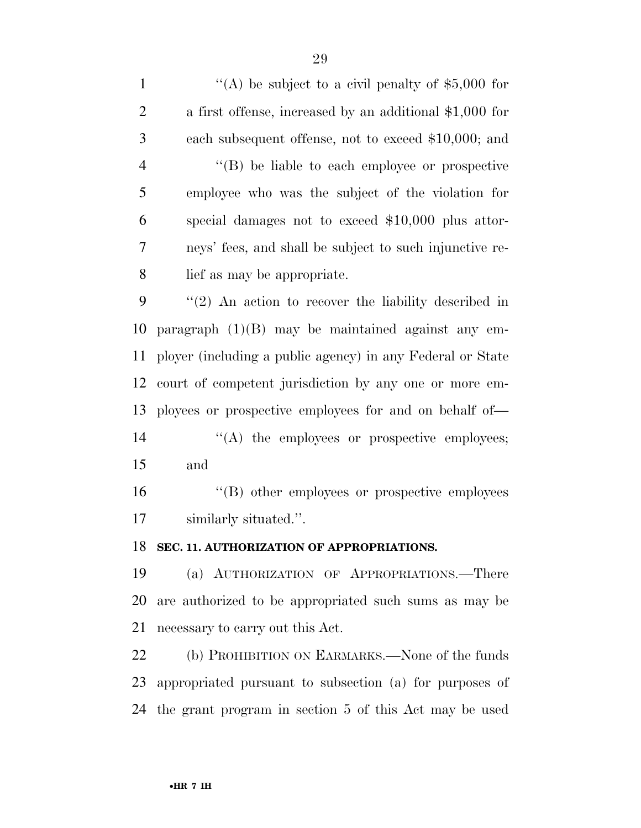$\langle (A) \rangle$  be subject to a civil penalty of \$5,000 for a first offense, increased by an additional \$1,000 for each subsequent offense, not to exceed \$10,000; and ''(B) be liable to each employee or prospective employee who was the subject of the violation for special damages not to exceed \$10,000 plus attor- neys' fees, and shall be subject to such injunctive re- lief as may be appropriate. ''(2) An action to recover the liability described in paragraph (1)(B) may be maintained against any em- ployer (including a public agency) in any Federal or State court of competent jurisdiction by any one or more em- ployees or prospective employees for and on behalf of—  $\langle A \rangle$  the employees or prospective employees; and ''(B) other employees or prospective employees similarly situated.''.

#### **SEC. 11. AUTHORIZATION OF APPROPRIATIONS.**

 (a) AUTHORIZATION OF APPROPRIATIONS.—There are authorized to be appropriated such sums as may be necessary to carry out this Act.

22 (b) PROHIBITION ON EARMARKS.—None of the funds appropriated pursuant to subsection (a) for purposes of the grant program in section 5 of this Act may be used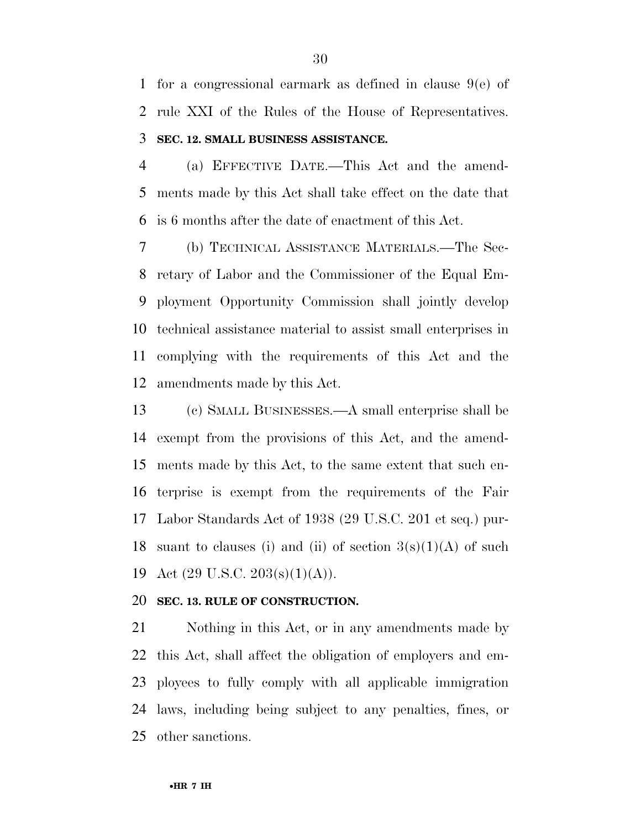for a congressional earmark as defined in clause 9(e) of rule XXI of the Rules of the House of Representatives. **SEC. 12. SMALL BUSINESS ASSISTANCE.** 

 (a) EFFECTIVE DATE.—This Act and the amend- ments made by this Act shall take effect on the date that is 6 months after the date of enactment of this Act.

 (b) TECHNICAL ASSISTANCE MATERIALS.—The Sec- retary of Labor and the Commissioner of the Equal Em- ployment Opportunity Commission shall jointly develop technical assistance material to assist small enterprises in complying with the requirements of this Act and the amendments made by this Act.

 (c) SMALL BUSINESSES.—A small enterprise shall be exempt from the provisions of this Act, and the amend- ments made by this Act, to the same extent that such en- terprise is exempt from the requirements of the Fair Labor Standards Act of 1938 (29 U.S.C. 201 et seq.) pur-18 suant to clauses (i) and (ii) of section  $3(s)(1)(A)$  of such Act (29 U.S.C. 203(s)(1)(A)).

#### **SEC. 13. RULE OF CONSTRUCTION.**

 Nothing in this Act, or in any amendments made by this Act, shall affect the obligation of employers and em- ployees to fully comply with all applicable immigration laws, including being subject to any penalties, fines, or other sanctions.